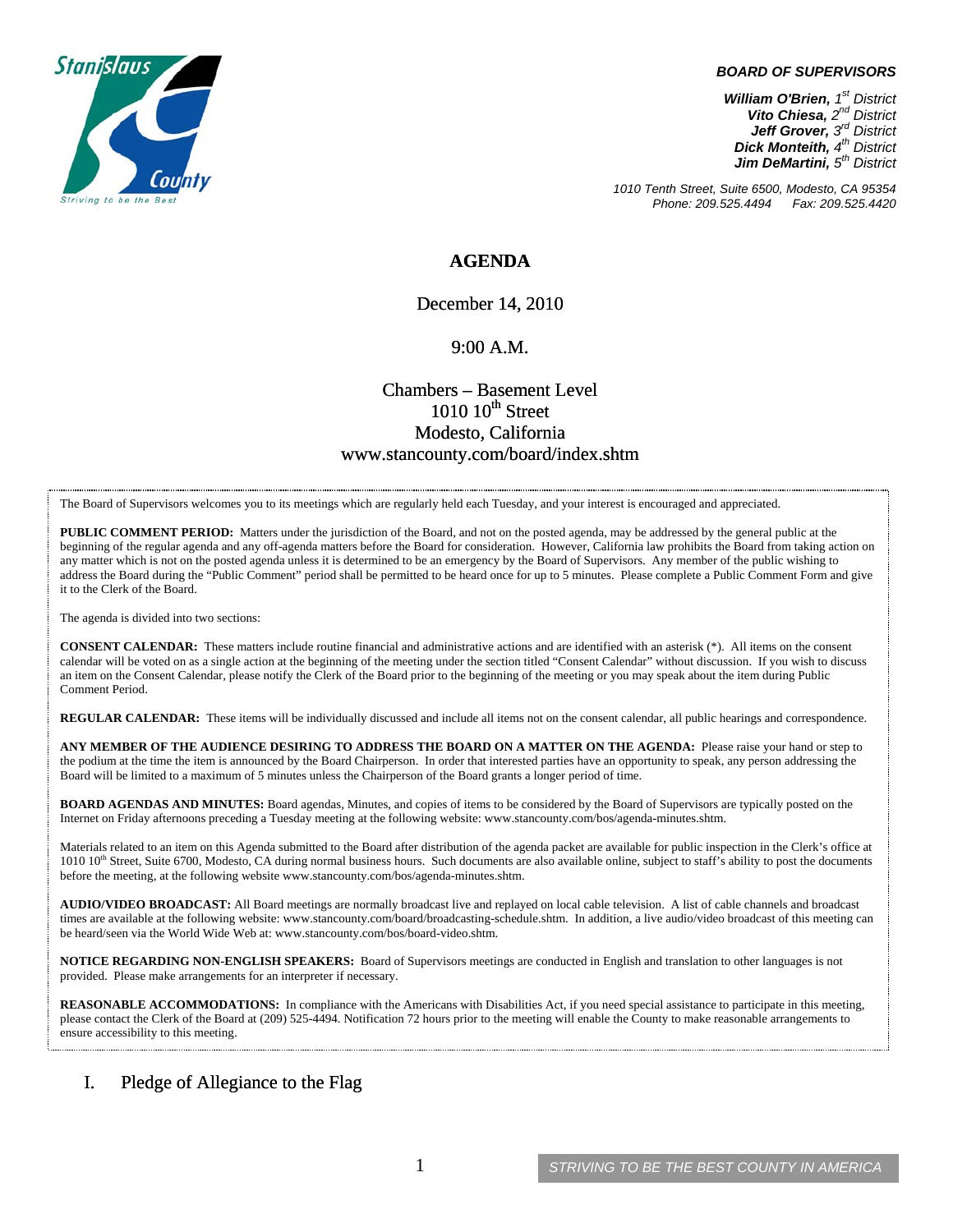

#### *BOARD OF SUPERVISORS*

*William O'Brien, 1st District Vito Chiesa, 2nd District Jeff Grover, 3rd District Dick Monteith, 4th District Jim DeMartini, 5th District*

*1010 Tenth Street, Suite 6500, Modesto, CA 95354 Phone: 209.525.4494* 

### **AGENDA**

December 14, 2010

#### 9:00 A.M.

# Chambers – Basement Level  $1010~10$ <sup>th</sup> Street Modesto, California www.stancounty.com/board/index.shtm

The Board of Supervisors welcomes you to its meetings which are regularly held each Tuesday, and your interest is encouraged and appreciated.

**PUBLIC COMMENT PERIOD:** Matters under the jurisdiction of the Board, and not on the posted agenda, may be addressed by the general public at the beginning of the regular agenda and any off-agenda matters before the Board for consideration. However, California law prohibits the Board from taking action on any matter which is not on the posted agenda unless it is determined to be an emergency by the Board of Supervisors. Any member of the public wishing to address the Board during the "Public Comment" period shall be permitted to be heard once for up to 5 minutes. Please complete a Public Comment Form and give it to the Clerk of the Board.

The agenda is divided into two sections:

**CONSENT CALENDAR:** These matters include routine financial and administrative actions and are identified with an asterisk (\*). All items on the consent calendar will be voted on as a single action at the beginning of the meeting under the section titled "Consent Calendar" without discussion. If you wish to discuss an item on the Consent Calendar, please notify the Clerk of the Board prior to the beginning of the meeting or you may speak about the item during Public Comment Period.

**REGULAR CALENDAR:** These items will be individually discussed and include all items not on the consent calendar, all public hearings and correspondence.

**ANY MEMBER OF THE AUDIENCE DESIRING TO ADDRESS THE BOARD ON A MATTER ON THE AGENDA:** Please raise your hand or step to the podium at the time the item is announced by the Board Chairperson. In order that interested parties have an opportunity to speak, any person addressing the Board will be limited to a maximum of 5 minutes unless the Chairperson of the Board grants a longer period of time.

**BOARD AGENDAS AND MINUTES:** Board agendas, Minutes, and copies of items to be considered by the Board of Supervisors are typically posted on the Internet on Friday afternoons preceding a Tuesday meeting at the following website: www.stancounty.com/bos/agenda-minutes.shtm.

Materials related to an item on this Agenda submitted to the Board after distribution of the agenda packet are available for public inspection in the Clerk's office at 1010 10<sup>th</sup> Street, Suite 6700, Modesto, CA during normal business hours. Such documents are also available online, subject to staff's ability to post the documents before the meeting, at the following website www.stancounty.com/bos/agenda-minutes.shtm.

**AUDIO/VIDEO BROADCAST:** All Board meetings are normally broadcast live and replayed on local cable television. A list of cable channels and broadcast times are available at the following website: www.stancounty.com/board/broadcasting-schedule.shtm. In addition, a live audio/video broadcast of this meeting can be heard/seen via the World Wide Web at: www.stancounty.com/bos/board-video.shtm.

**NOTICE REGARDING NON-ENGLISH SPEAKERS:** Board of Supervisors meetings are conducted in English and translation to other languages is not provided. Please make arrangements for an interpreter if necessary.

**REASONABLE ACCOMMODATIONS:** In compliance with the Americans with Disabilities Act, if you need special assistance to participate in this meeting, please contact the Clerk of the Board at (209) 525-4494. Notification 72 hours prior to the meeting will enable the County to make reasonable arrangements to ensure accessibility to this meeting.

### I. Pledge of Allegiance to the Flag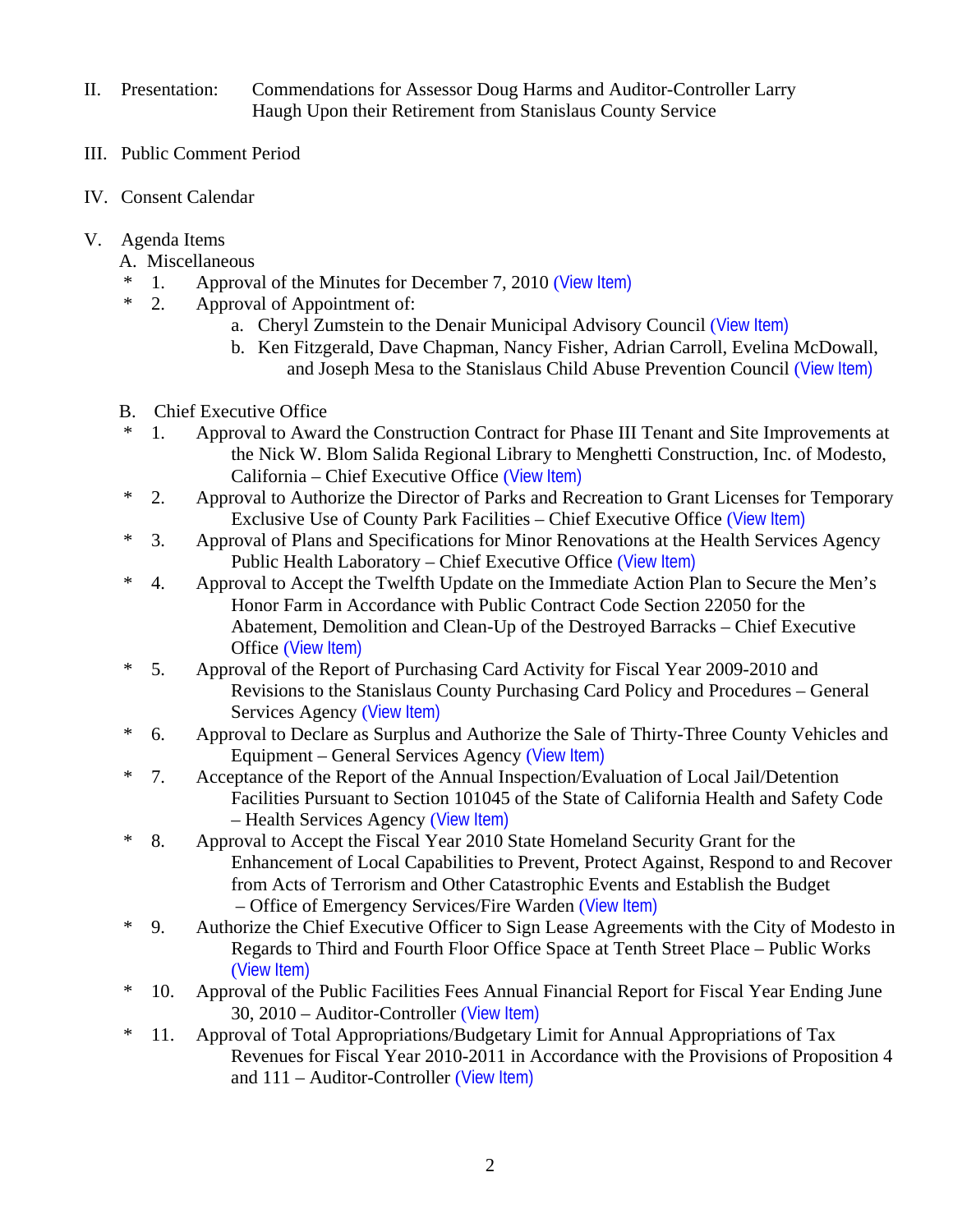- II. Presentation: Commendations for Assessor Doug Harms and Auditor-Controller Larry Haugh Upon their Retirement from Stanislaus County Service
- III. Public Comment Period
- IV. Consent Calendar
- V. Agenda Items
	- A. Miscellaneous
	- \* 1. Approval of the Minutes for December 7, 2010 ([View Item\)](http://www.stancounty.com/bos/minutes/2010/min12-07-10.pdf)
	- \* 2. Approval of Appointment of:
		- a. Cheryl Zumstein to the Denair Municipal Advisory Council ([View Item\)](http://www.stancounty.com/bos/agenda/2010/20101214/A02a.pdf)
		- b. Ken Fitzgerald, Dave Chapman, Nancy Fisher, Adrian Carroll, Evelina McDowall, and Joseph Mesa to the Stanislaus Child Abuse Prevention Council ([View Item\)](http://www.stancounty.com/bos/agenda/2010/20101214/A02b.pdf)
	- B. Chief Executive Office
	- \* 1. Approval to Award the Construction Contract for Phase III Tenant and Site Improvements at the Nick W. Blom Salida Regional Library to Menghetti Construction, Inc. of Modesto, California – Chief Executive Office ([View Item\)](http://www.stancounty.com/bos/agenda/2010/20101214/B01.pdf)
	- \* 2. Approval to Authorize the Director of Parks and Recreation to Grant Licenses for Temporary Exclusive Use of County Park Facilities – Chief Executive Office ([View Item\)](http://www.stancounty.com/bos/agenda/2010/20101214/B02.pdf)
	- \* 3. Approval of Plans and Specifications for Minor Renovations at the Health Services Agency Public Health Laboratory – Chief Executive Office ([View Item\)](http://www.stancounty.com/bos/agenda/2010/20101214/B03.pdf)
	- \* 4. Approval to Accept the Twelfth Update on the Immediate Action Plan to Secure the Men's Honor Farm in Accordance with Public Contract Code Section 22050 for the Abatement, Demolition and Clean-Up of the Destroyed Barracks – Chief Executive Office ([View Item\)](http://www.stancounty.com/bos/agenda/2010/20101214/B04.pdf)
	- \* 5. Approval of the Report of Purchasing Card Activity for Fiscal Year 2009-2010 and Revisions to the Stanislaus County Purchasing Card Policy and Procedures – General Services Agency ([View Item\)](http://www.stancounty.com/bos/agenda/2010/20101214/B05.pdf)
	- \* 6. Approval to Declare as Surplus and Authorize the Sale of Thirty-Three County Vehicles and Equipment – General Services Agency ([View Item\)](http://www.stancounty.com/bos/agenda/2010/20101214/B06.pdf)
	- \* 7. Acceptance of the Report of the Annual Inspection/Evaluation of Local Jail/Detention Facilities Pursuant to Section 101045 of the State of California Health and Safety Code – Health Services Agency ([View Item\)](http://www.stancounty.com/bos/agenda/2010/20101214/B07.pdf)
	- \* 8. Approval to Accept the Fiscal Year 2010 State Homeland Security Grant for the Enhancement of Local Capabilities to Prevent, Protect Against, Respond to and Recover from Acts of Terrorism and Other Catastrophic Events and Establish the Budget – Office of Emergency Services/Fire Warden ([View Item\)](http://www.stancounty.com/bos/agenda/2010/20101214/B08.pdf)
	- \* 9. Authorize the Chief Executive Officer to Sign Lease Agreements with the City of Modesto in Regards to Third and Fourth Floor Office Space at Tenth Street Place – Public Works ([View Item\)](http://www.stancounty.com/bos/agenda/2010/20101214/B09.pdf)
	- \* 10. Approval of the Public Facilities Fees Annual Financial Report for Fiscal Year Ending June 30, 2010 – Auditor-Controller ([View Item\)](http://www.stancounty.com/bos/agenda/2010/20101214/B10.pdf)
	- \* 11. Approval of Total Appropriations/Budgetary Limit for Annual Appropriations of Tax Revenues for Fiscal Year 2010-2011 in Accordance with the Provisions of Proposition 4 and 111 – Auditor-Controller ([View Item\)](http://www.stancounty.com/bos/agenda/2010/20101214/B11.pdf)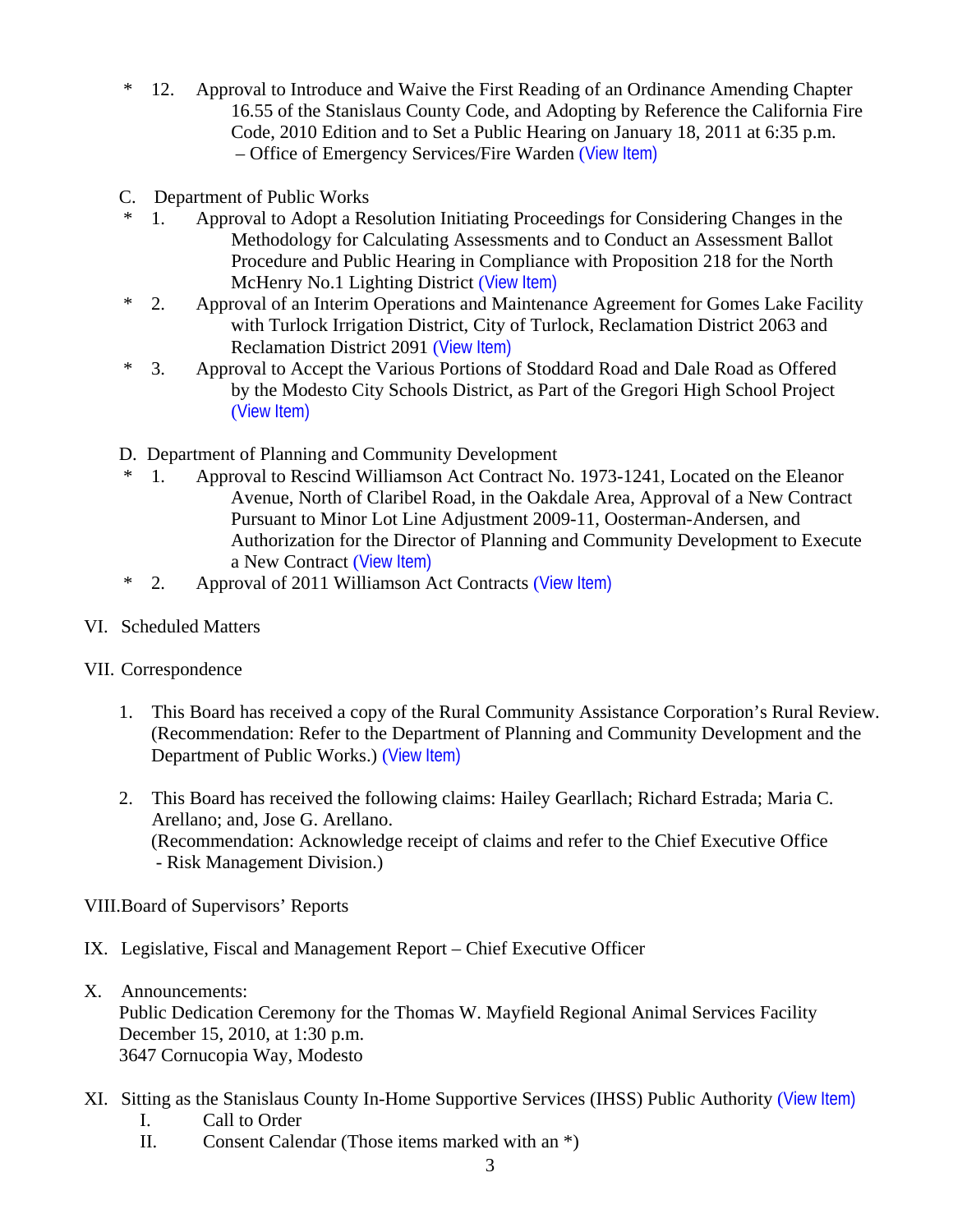- \* 12. Approval to Introduce and Waive the First Reading of an Ordinance Amending Chapter 16.55 of the Stanislaus County Code, and Adopting by Reference the California Fire Code, 2010 Edition and to Set a Public Hearing on January 18, 2011 at 6:35 p.m. – Office of Emergency Services/Fire Warden ([View Item\)](http://www.stancounty.com/bos/agenda/2010/20101214/B12.pdf)
- C. Department of Public Works
- \* 1. Approval to Adopt a Resolution Initiating Proceedings for Considering Changes in the Methodology for Calculating Assessments and to Conduct an Assessment Ballot Procedure and Public Hearing in Compliance with Proposition 218 for the North McHenry No.1 Lighting District ([View Item\)](http://www.stancounty.com/bos/agenda/2010/20101214/C01.pdf)
- \* 2. Approval of an Interim Operations and Maintenance Agreement for Gomes Lake Facility with Turlock Irrigation District, City of Turlock, Reclamation District 2063 and Reclamation District 2091 ([View Item\)](http://www.stancounty.com/bos/agenda/2010/20101214/C02.pdf)
- \* 3. Approval to Accept the Various Portions of Stoddard Road and Dale Road as Offered by the Modesto City Schools District, as Part of the Gregori High School Project ([View Item\)](http://www.stancounty.com/bos/agenda/2010/20101214/C03.pdf)
- D. Department of Planning and Community Development
- 1. Approval to Rescind Williamson Act Contract No. 1973-1241, Located on the Eleanor Avenue, North of Claribel Road, in the Oakdale Area, Approval of a New Contract Pursuant to Minor Lot Line Adjustment 2009-11, Oosterman-Andersen, and Authorization for the Director of Planning and Community Development to Execute a New Contract ([View Item\)](http://www.stancounty.com/bos/agenda/2010/20101214/D01.pdf)
- \* 2. Approval of 2011 Williamson Act Contracts ([View Item\)](http://www.stancounty.com/bos/agenda/2010/20101214/D02.pdf)
- VI. Scheduled Matters

## VII. Correspondence

- 1. This Board has received a copy of the Rural Community Assistance Corporation's Rural Review. (Recommendation: Refer to the Department of Planning and Community Development and the Department of Public Works.) ([View Item\)](http://www.stancounty.com/bos/agenda/2010/20101214/Corr01.pdf)
- 2. This Board has received the following claims: Hailey Gearllach; Richard Estrada; Maria C. Arellano; and, Jose G. Arellano. (Recommendation: Acknowledge receipt of claims and refer to the Chief Executive Office - Risk Management Division.)

VIII.Board of Supervisors' Reports

- IX. Legislative, Fiscal and Management Report Chief Executive Officer
- X. Announcements:

Public Dedication Ceremony for the Thomas W. Mayfield Regional Animal Services Facility December 15, 2010, at 1:30 p.m. 3647 Cornucopia Way, Modesto

- XI. Sitting as the Stanislaus County In-Home Supportive Services (IHSS) Public Authority ([View Item\)](http://www.stancounty.com/bos/agenda/2010/20101214/XI.pdf) I. Call to Order
	- II. Consent Calendar (Those items marked with an \*)